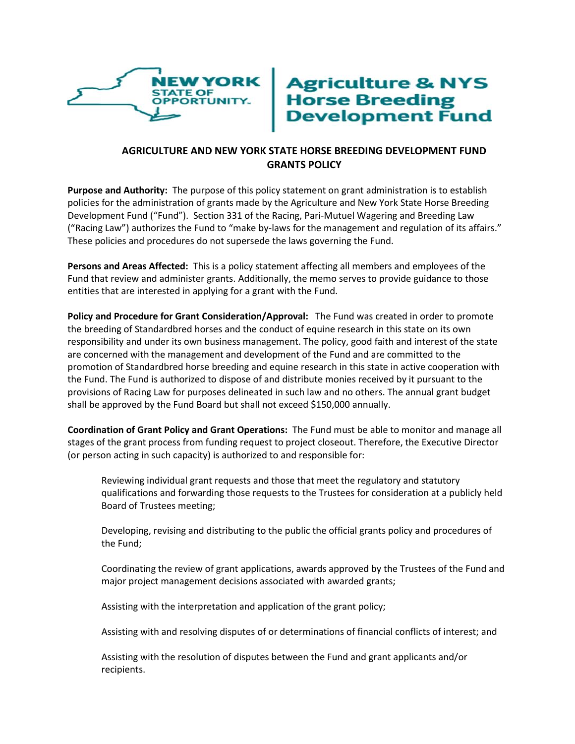

## **Agriculture & NYS<br>Horse Breeding<br>Development Fund**

## **AGRICULTURE AND NEW YORK STATE HORSE BREEDING DEVELOPMENT FUND GRANTS POLICY**

**Purpose and Authority:** The purpose of this policy statement on grant administration is to establish policies for the administration of grants made by the Agriculture and New York State Horse Breeding Development Fund ("Fund"). Section 331 of the Racing, Pari-Mutuel Wagering and Breeding Law ("Racing Law") authorizes the Fund to "make by-laws for the management and regulation of its affairs." These policies and procedures do not supersede the laws governing the Fund.

**Persons and Areas Affected:** This is a policy statement affecting all members and employees of the Fund that review and administer grants. Additionally, the memo serves to provide guidance to those entities that are interested in applying for a grant with the Fund.

**Policy and Procedure for Grant Consideration/Approval:** The Fund was created in order to promote the breeding of Standardbred horses and the conduct of equine research in this state on its own responsibility and under its own business management. The policy, good faith and interest of the state are concerned with the management and development of the Fund and are committed to the promotion of Standardbred horse breeding and equine research in this state in active cooperation with the Fund. The Fund is authorized to dispose of and distribute monies received by it pursuant to the provisions of Racing Law for purposes delineated in such law and no others. The annual grant budget shall be approved by the Fund Board but shall not exceed \$150,000 annually.

**Coordination of Grant Policy and Grant Operations:** The Fund must be able to monitor and manage all stages of the grant process from funding request to project closeout. Therefore, the Executive Director (or person acting in such capacity) is authorized to and responsible for:

Reviewing individual grant requests and those that meet the regulatory and statutory qualifications and forwarding those requests to the Trustees for consideration at a publicly held Board of Trustees meeting;

Developing, revising and distributing to the public the official grants policy and procedures of the Fund;

Coordinating the review of grant applications, awards approved by the Trustees of the Fund and major project management decisions associated with awarded grants;

Assisting with the interpretation and application of the grant policy;

Assisting with and resolving disputes of or determinations of financial conflicts of interest; and

Assisting with the resolution of disputes between the Fund and grant applicants and/or recipients.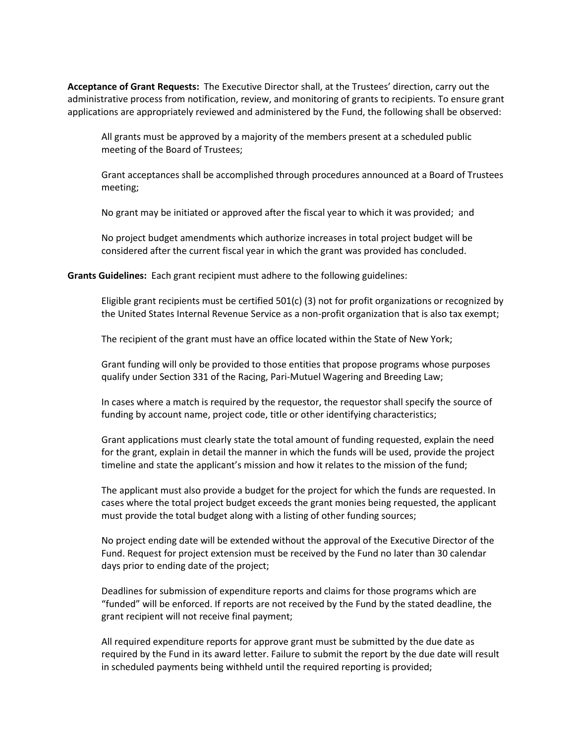**Acceptance of Grant Requests:** The Executive Director shall, at the Trustees' direction, carry out the administrative process from notification, review, and monitoring of grants to recipients. To ensure grant applications are appropriately reviewed and administered by the Fund, the following shall be observed:

All grants must be approved by a majority of the members present at a scheduled public meeting of the Board of Trustees;

Grant acceptances shall be accomplished through procedures announced at a Board of Trustees meeting;

No grant may be initiated or approved after the fiscal year to which it was provided; and

No project budget amendments which authorize increases in total project budget will be considered after the current fiscal year in which the grant was provided has concluded.

**Grants Guidelines:** Each grant recipient must adhere to the following guidelines:

Eligible grant recipients must be certified 501(c) (3) not for profit organizations or recognized by the United States Internal Revenue Service as a non-profit organization that is also tax exempt;

The recipient of the grant must have an office located within the State of New York;

Grant funding will only be provided to those entities that propose programs whose purposes qualify under Section 331 of the Racing, Pari-Mutuel Wagering and Breeding Law;

In cases where a match is required by the requestor, the requestor shall specify the source of funding by account name, project code, title or other identifying characteristics;

Grant applications must clearly state the total amount of funding requested, explain the need for the grant, explain in detail the manner in which the funds will be used, provide the project timeline and state the applicant's mission and how it relates to the mission of the fund;

The applicant must also provide a budget for the project for which the funds are requested. In cases where the total project budget exceeds the grant monies being requested, the applicant must provide the total budget along with a listing of other funding sources;

No project ending date will be extended without the approval of the Executive Director of the Fund. Request for project extension must be received by the Fund no later than 30 calendar days prior to ending date of the project;

Deadlines for submission of expenditure reports and claims for those programs which are "funded" will be enforced. If reports are not received by the Fund by the stated deadline, the grant recipient will not receive final payment;

All required expenditure reports for approve grant must be submitted by the due date as required by the Fund in its award letter. Failure to submit the report by the due date will result in scheduled payments being withheld until the required reporting is provided;